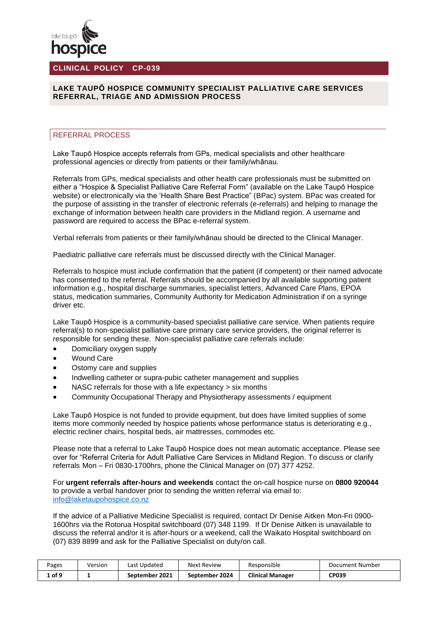

# **CLINICAL POLICY CP-039**

### **LAKE TAUPŌ HOSPICE COMMUNITY SPECIALIST PALLIATIVE CARE SERVICES REFERRAL, TRIAGE AND ADMISSION PROCESS**

# REFERRAL PROCESS

Lake Taupō Hospice accepts referrals from GPs, medical specialists and other healthcare professional agencies or directly from patients or their family/whānau.

Referrals from GPs, medical specialists and other health care professionals must be submitted on either a "Hospice & Specialist Palliative Care Referral Form" (available on the Lake Taupō Hospice website) or electronically via the 'Health Share Best Practice" (BPac) system. BPac was created for the purpose of assisting in the transfer of electronic referrals (e-referrals) and helping to manage the exchange of information between health care providers in the Midland region. A username and password are required to access the BPac e-referral system.

Verbal referrals from patients or their family/whānau should be directed to the Clinical Manager.

Paediatric palliative care referrals must be discussed directly with the Clinical Manager.

Referrals to hospice must include confirmation that the patient (if competent) or their named advocate has consented to the referral. Referrals should be accompanied by all available supporting patient information e.g., hospital discharge summaries, specialist letters, Advanced Care Plans, EPOA status, medication summaries, Community Authority for Medication Administration if on a syringe driver etc.

Lake Taupō Hospice is a community-based specialist palliative care service. When patients require referral(s) to non-specialist palliative care primary care service providers, the original referrer is responsible for sending these. Non-specialist palliative care referrals include:

- Domiciliary oxygen supply
- Wound Care
- Ostomy care and supplies
- Indwelling catheter or supra-pubic catheter management and supplies
- NASC referrals for those with a life expectancy > six months
- Community Occupational Therapy and Physiotherapy assessments / equipment

Lake Taupō Hospice is not funded to provide equipment, but does have limited supplies of some items more commonly needed by hospice patients whose performance status is deteriorating e.g., electric recliner chairs, hospital beds, air mattresses, commodes etc.

Please note that a referral to Lake Taupō Hospice does not mean automatic acceptance. Please see over for "Referral Criteria for Adult Palliative Care Services in Midland Region. To discuss or clarify referrals Mon – Fri 0830-1700hrs, phone the Clinical Manager on (07) 377 4252.

For **urgent referrals after-hours and weekends** contact the on-call hospice nurse on **0800 920044** to provide a verbal handover prior to sending the written referral via email to: [info@laketaupohospice.co.nz](mailto:info@laketaupohospice.co.nz)

If the advice of a Palliative Medicine Specialist is required, contact Dr Denise Aitken Mon-Fri 0900- 1600hrs via the Rotorua Hospital switchboard (07) 348 1199. If Dr Denise Aitken is unavailable to discuss the referral and/or it is after-hours or a weekend, call the Waikato Hospital switchboard on (07) 839 8899 and ask for the Palliative Specialist on duty/on call.

| Pages  | Version | Last Updated   | <b>Next Review</b> | Responsible             | Document Number |
|--------|---------|----------------|--------------------|-------------------------|-----------------|
| 1 of 9 |         | September 2021 | September 2024     | <b>Clinical Manager</b> | <b>CP039</b>    |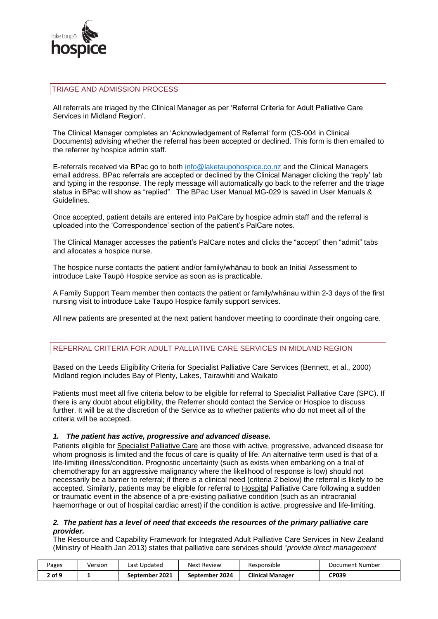

# TRIAGE AND ADMISSION PROCESS

All referrals are triaged by the Clinical Manager as per 'Referral Criteria for Adult Palliative Care Services in Midland Region'.

The Clinical Manager completes an 'Acknowledgement of Referral' form (CS-004 in Clinical Documents) advising whether the referral has been accepted or declined. This form is then emailed to the referrer by hospice admin staff.

E-referrals received via BPac go to both [info@laketaupohospice.co.nz](mailto:info@laketaupohospice.co.nz) and the Clinical Managers email address. BPac referrals are accepted or declined by the Clinical Manager clicking the 'reply' tab and typing in the response. The reply message will automatically go back to the referrer and the triage status in BPac will show as "replied". The BPac User Manual MG-029 is saved in User Manuals & Guidelines.

Once accepted, patient details are entered into PalCare by hospice admin staff and the referral is uploaded into the 'Correspondence' section of the patient's PalCare notes.

The Clinical Manager accesses the patient's PalCare notes and clicks the "accept" then "admit" tabs and allocates a hospice nurse.

The hospice nurse contacts the patient and/or family/whānau to book an Initial Assessment to introduce Lake Taupō Hospice service as soon as is practicable.

A Family Support Team member then contacts the patient or family/whānau within 2-3 days of the first nursing visit to introduce Lake Taupō Hospice family support services.

All new patients are presented at the next patient handover meeting to coordinate their ongoing care.

# REFERRAL CRITERIA FOR ADULT PALLIATIVE CARE SERVICES IN MIDLAND REGION

Based on the Leeds Eligibility Criteria for Specialist Palliative Care Services (Bennett, et al., 2000) Midland region includes Bay of Plenty, Lakes, Tairawhiti and Waikato

Patients must meet all five criteria below to be eligible for referral to Specialist Palliative Care (SPC). If there is any doubt about eligibility, the Referrer should contact the Service or Hospice to discuss further. It will be at the discretion of the Service as to whether patients who do not meet all of the criteria will be accepted.

#### *1. The patient has active, progressive and advanced disease.*

Patients eligible for Specialist Palliative Care are those with active, progressive, advanced disease for whom prognosis is limited and the focus of care is quality of life. An alternative term used is that of a life-limiting illness/condition. Prognostic uncertainty (such as exists when embarking on a trial of chemotherapy for an aggressive malignancy where the likelihood of response is low) should not necessarily be a barrier to referral; if there is a clinical need (criteria 2 below) the referral is likely to be accepted. Similarly, patients may be eligible for referral to Hospital Palliative Care following a sudden or traumatic event in the absence of a pre-existing palliative condition (such as an intracranial haemorrhage or out of hospital cardiac arrest) if the condition is active, progressive and life-limiting.

#### *2. The patient has a level of need that exceeds the resources of the primary palliative care provider.*

The Resource and Capability Framework for Integrated Adult Palliative Care Services in New Zealand (Ministry of Health Jan 2013) states that palliative care services should "*provide direct management* 

| Pages  | Version | Last Updated   | <b>Next Review</b> | Responsible             | Document Number |
|--------|---------|----------------|--------------------|-------------------------|-----------------|
| 2 of 9 |         | September 2021 | September 2024     | <b>Clinical Manager</b> | <b>CP039</b>    |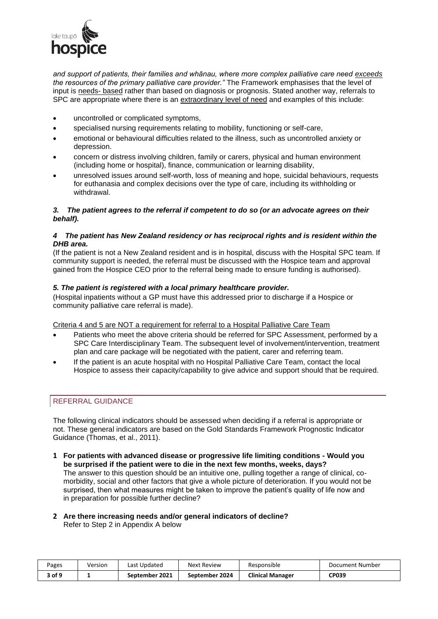

*and support of patients, their families and whānau, where more complex palliative care need exceeds the resources of the primary palliative care provider."* The Framework emphasises that the level of input is needs- based rather than based on diagnosis or prognosis. Stated another way, referrals to SPC are appropriate where there is an extraordinary level of need and examples of this include:

- uncontrolled or complicated symptoms,
- specialised nursing requirements relating to mobility, functioning or self-care,
- emotional or behavioural difficulties related to the illness, such as uncontrolled anxiety or depression.
- concern or distress involving children, family or carers, physical and human environment (including home or hospital), finance, communication or learning disability,
- unresolved issues around self-worth, loss of meaning and hope, suicidal behaviours, requests for euthanasia and complex decisions over the type of care, including its withholding or withdrawal.

### *3. The patient agrees to the referral if competent to do so (or an advocate agrees on their behalf).*

### *4 The patient has New Zealand residency or has reciprocal rights and is resident within the DHB area.*

(If the patient is not a New Zealand resident and is in hospital, discuss with the Hospital SPC team. If community support is needed, the referral must be discussed with the Hospice team and approval gained from the Hospice CEO prior to the referral being made to ensure funding is authorised).

# *5. The patient is registered with a local primary healthcare provider.*

(Hospital inpatients without a GP must have this addressed prior to discharge if a Hospice or community palliative care referral is made).

Criteria 4 and 5 are NOT a requirement for referral to a Hospital Palliative Care Team

- Patients who meet the above criteria should be referred for SPC Assessment, performed by a SPC Care Interdisciplinary Team. The subsequent level of involvement/intervention, treatment plan and care package will be negotiated with the patient, carer and referring team.
- If the patient is an acute hospital with no Hospital Palliative Care Team, contact the local Hospice to assess their capacity/capability to give advice and support should that be required.

# REFERRAL GUIDANCE

The following clinical indicators should be assessed when deciding if a referral is appropriate or not. These general indicators are based on the Gold Standards Framework Prognostic Indicator Guidance (Thomas, et al., 2011).

- **1 For patients with advanced disease or progressive life limiting conditions - Would you be surprised if the patient were to die in the next few months, weeks, days?** The answer to this question should be an intuitive one, pulling together a range of clinical, comorbidity, social and other factors that give a whole picture of deterioration. If you would not be surprised, then what measures might be taken to improve the patient's quality of life now and in preparation for possible further decline?
- **2 Are there increasing needs and/or general indicators of decline?** Refer to Step 2 in Appendix A below

| Pages  | Version | Last Updated   | Next Review    | Responsible             | Document Number |
|--------|---------|----------------|----------------|-------------------------|-----------------|
| 3 of 9 |         | September 2021 | September 2024 | <b>Clinical Manager</b> | CP039           |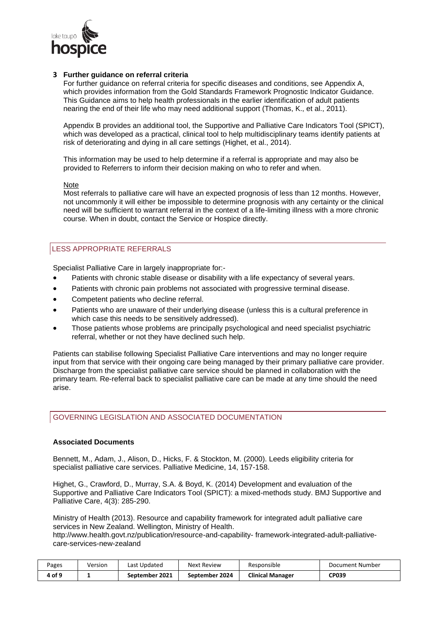

### **3 Further guidance on referral criteria**

For further guidance on referral criteria for specific diseases and conditions, see Appendix A, which provides information from the Gold Standards Framework Prognostic Indicator Guidance. This Guidance aims to help health professionals in the earlier identification of adult patients nearing the end of their life who may need additional support (Thomas, K., et al., 2011).

Appendix B provides an additional tool, the Supportive and Palliative Care Indicators Tool (SPICT), which was developed as a practical, clinical tool to help multidisciplinary teams identify patients at risk of deteriorating and dying in all care settings (Highet, et al., 2014).

This information may be used to help determine if a referral is appropriate and may also be provided to Referrers to inform their decision making on who to refer and when.

Note

Most referrals to palliative care will have an expected prognosis of less than 12 months. However, not uncommonly it will either be impossible to determine prognosis with any certainty or the clinical need will be sufficient to warrant referral in the context of a life-limiting illness with a more chronic course. When in doubt, contact the Service or Hospice directly.

# LESS APPROPRIATE REFERRALS

Specialist Palliative Care in largely inappropriate for:-

- Patients with chronic stable disease or disability with a life expectancy of several years.
- Patients with chronic pain problems not associated with progressive terminal disease.
- Competent patients who decline referral.
- Patients who are unaware of their underlying disease (unless this is a cultural preference in which case this needs to be sensitively addressed).
- Those patients whose problems are principally psychological and need specialist psychiatric referral, whether or not they have declined such help.

Patients can stabilise following Specialist Palliative Care interventions and may no longer require input from that service with their ongoing care being managed by their primary palliative care provider. Discharge from the specialist palliative care service should be planned in collaboration with the primary team. Re-referral back to specialist palliative care can be made at any time should the need arise.

### GOVERNING LEGISLATION AND ASSOCIATED DOCUMENTATION

#### **Associated Documents**

Bennett, M., Adam, J., Alison, D., Hicks, F. & Stockton, M. (2000). Leeds eligibility criteria for specialist palliative care services. Palliative Medicine, 14, 157-158.

Highet, G., Crawford, D., Murray, S.A. & Boyd, K. (2014) Development and evaluation of the Supportive and Palliative Care Indicators Tool (SPICT): a mixed-methods study. BMJ Supportive and Palliative Care, 4(3): 285-290.

Ministry of Health (2013). Resource and capability framework for integrated adult palliative care services in New Zealand. Wellington, Ministry of Health.

http://www.health.govt.nz/publication/resource-and-capability- framework-integrated-adult-palliativecare-services-new-zealand

| Pages             | Version | Last Updated   | Next Review    | Responsible             | Document Number |
|-------------------|---------|----------------|----------------|-------------------------|-----------------|
| 4 of <sup>o</sup> |         | September 2021 | September 2024 | <b>Clinical Manager</b> | CP039           |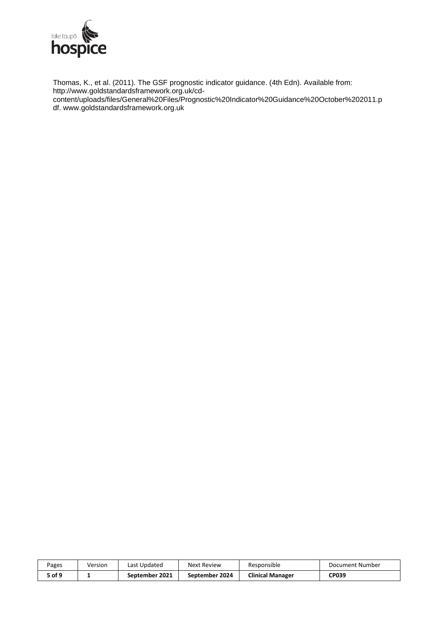

Thomas, K., et al. (2011). The GSF prognostic indicator guidance. (4th Edn). Available from: http://www.goldstandardsframework.org.uk/cdcontent/uploads/files/General%20Files/Prognostic%20Indicator%20Guidance%20October%202011.p df. www.goldstandardsframework.org.uk

| Pages  | Version | Last Updated   | <b>Next Review</b> | Responsible             | Document Number |
|--------|---------|----------------|--------------------|-------------------------|-----------------|
| 5 of 9 |         | September 2021 | September 2024     | <b>Clinical Manager</b> | <b>CP039</b>    |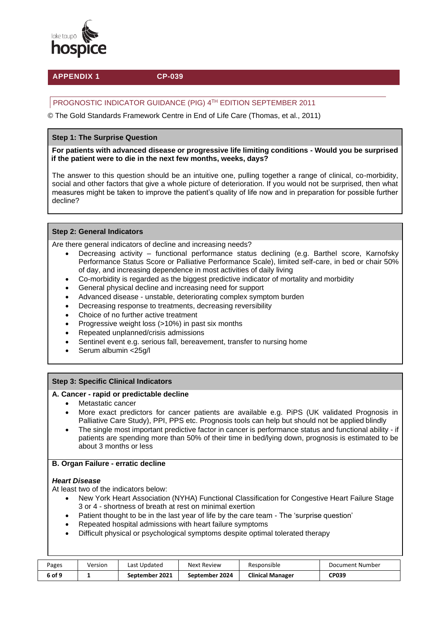

# **APPENDIX 1 CP-039**

# PROGNOSTIC INDICATOR GUIDANCE (PIG) 4TH EDITION SEPTEMBER 2011

© The Gold Standards Framework Centre in End of Life Care (Thomas, et al., 2011)

# **Step 1: The Surprise Question**

**For patients with advanced disease or progressive life limiting conditions - Would you be surprised if the patient were to die in the next few months, weeks, days?**

The answer to this question should be an intuitive one, pulling together a range of clinical, co-morbidity, social and other factors that give a whole picture of deterioration. If you would not be surprised, then what measures might be taken to improve the patient's quality of life now and in preparation for possible further decline?

# **Step 2: General Indicators**

Are there general indicators of decline and increasing needs?

- Decreasing activity functional performance status declining (e.g. Barthel score, Karnofsky Performance Status Score or Palliative Performance Scale), limited self-care, in bed or chair 50% of day, and increasing dependence in most activities of daily living
- Co-morbidity is regarded as the biggest predictive indicator of mortality and morbidity
- General physical decline and increasing need for support
- Advanced disease unstable, deteriorating complex symptom burden
- Decreasing response to treatments, decreasing reversibility
- Choice of no further active treatment
- Progressive weight loss (>10%) in past six months
- Repeated unplanned/crisis admissions
- Sentinel event e.g. serious fall, bereavement, transfer to nursing home
- Serum albumin <25g/l

# **Step 3: Specific Clinical Indicators**

#### **A. Cancer - rapid or predictable decline**

- Metastatic cancer
- More exact predictors for cancer patients are available e.g. PiPS (UK validated Prognosis in Palliative Care Study), PPI, PPS etc. Prognosis tools can help but should not be applied blindly
- The single most important predictive factor in cancer is performance status and functional ability if patients are spending more than 50% of their time in bed/lying down, prognosis is estimated to be about 3 months or less

#### **B. Organ Failure - erratic decline**

#### *Heart Disease*

At least two of the indicators below:

- New York Heart Association (NYHA) Functional Classification for Congestive Heart Failure Stage 3 or 4 - shortness of breath at rest on minimal exertion
- Patient thought to be in the last year of life by the care team The 'surprise question'
- Repeated hospital admissions with heart failure symptoms
- Difficult physical or psychological symptoms despite optimal tolerated therapy

| Pages  | Version | Last Updated   | Next Review    | Responsible             | Document Number |
|--------|---------|----------------|----------------|-------------------------|-----------------|
| 6 of 9 |         | September 2021 | September 2024 | <b>Clinical Manager</b> | CP039           |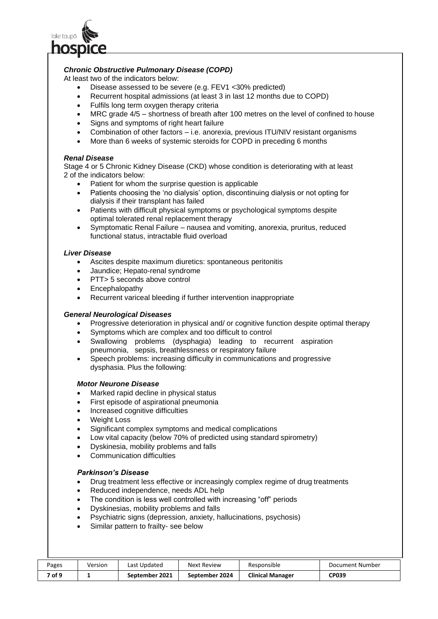

# *Chronic Obstructive Pulmonary Disease (COPD)*

At least two of the indicators below:

- Disease assessed to be severe (e.g. FEV1 <30% predicted)
- Recurrent hospital admissions (at least 3 in last 12 months due to COPD)
- Fulfils long term oxygen therapy criteria
- MRC grade 4/5 shortness of breath after 100 metres on the level of confined to house
- Signs and symptoms of right heart failure
- Combination of other factors i.e. anorexia, previous ITU/NIV resistant organisms
- More than 6 weeks of systemic steroids for COPD in preceding 6 months

# *Renal Disease*

Stage 4 or 5 Chronic Kidney Disease (CKD) whose condition is deteriorating with at least 2 of the indicators below:

- Patient for whom the surprise question is applicable
- Patients choosing the 'no dialysis' option, discontinuing dialysis or not opting for dialysis if their transplant has failed
- Patients with difficult physical symptoms or psychological symptoms despite optimal tolerated renal replacement therapy
- Symptomatic Renal Failure nausea and vomiting, anorexia, pruritus, reduced functional status, intractable fluid overload

# *Liver Disease*

- Ascites despite maximum diuretics: spontaneous peritonitis
- Jaundice; Hepato-renal syndrome
- PTT> 5 seconds above control
- **Encephalopathy**
- Recurrent variceal bleeding if further intervention inappropriate

# *General Neurological Diseases*

- Progressive deterioration in physical and/ or cognitive function despite optimal therapy
- Symptoms which are complex and too difficult to control
- Swallowing problems (dysphagia) leading to recurrent aspiration pneumonia, sepsis, breathlessness or respiratory failure
- Speech problems: increasing difficulty in communications and progressive dysphasia. Plus the following:

# *Motor Neurone Disease*

- Marked rapid decline in physical status
- First episode of aspirational pneumonia
- Increased cognitive difficulties
- **Weight Loss**
- Significant complex symptoms and medical complications
- Low vital capacity (below 70% of predicted using standard spirometry)
- Dyskinesia, mobility problems and falls
- Communication difficulties

# *Parkinson's Disease*

- Drug treatment less effective or increasingly complex regime of drug treatments
- Reduced independence, needs ADL help
- The condition is less well controlled with increasing "off" periods
- Dyskinesias, mobility problems and falls
- Psychiatric signs (depression, anxiety, hallucinations, psychosis)
- Similar pattern to frailty- see below

| Pages  | Version | Last Updated   | Next Review    | Responsible             | Document Number |
|--------|---------|----------------|----------------|-------------------------|-----------------|
| 7 of 9 |         | September 2021 | September 2024 | <b>Clinical Manager</b> | CP039           |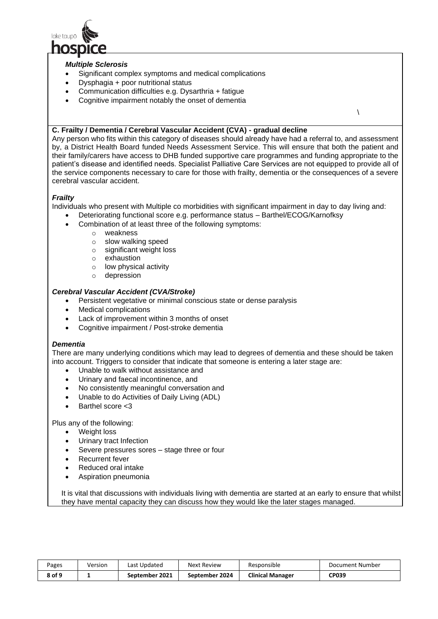

# *Multiple Sclerosis*

- Significant complex symptoms and medical complications
- Dysphagia + poor nutritional status
- Communication difficulties e.g. Dysarthria + fatigue
- Cognitive impairment notably the onset of dementia

# **C. Frailty / Dementia / Cerebral Vascular Accident (CVA) - gradual decline**

Any person who fits within this category of diseases should already have had a referral to, and assessment by, a District Health Board funded Needs Assessment Service. This will ensure that both the patient and their family/carers have access to DHB funded supportive care programmes and funding appropriate to the patient's disease and identified needs. Specialist Palliative Care Services are not equipped to provide all of the service components necessary to care for those with frailty, dementia or the consequences of a severe cerebral vascular accident.

\

# *Frailty*

Individuals who present with Multiple co morbidities with significant impairment in day to day living and:

- Deteriorating functional score e.g. performance status Barthel/ECOG/Karnofksy
- Combination of at least three of the following symptoms:
	- o weakness
	- o slow walking speed
	- o significant weight loss
	- o exhaustion
	- o low physical activity
	- o depression

# *Cerebral Vascular Accident (CVA/Stroke)*

- Persistent vegetative or minimal conscious state or dense paralysis
- Medical complications
- Lack of improvement within 3 months of onset
- Cognitive impairment / Post-stroke dementia

# *Dementia*

There are many underlying conditions which may lead to degrees of dementia and these should be taken into account. Triggers to consider that indicate that someone is entering a later stage are:

- Unable to walk without assistance and
- Urinary and faecal incontinence, and
- No consistently meaningful conversation and
- Unable to do Activities of Daily Living (ADL)
- Barthel score <3

Plus any of the following:

- Weight loss
- Urinary tract Infection
- Severe pressures sores stage three or four
- Recurrent fever
- Reduced oral intake
- Aspiration pneumonia

It is vital that discussions with individuals living with dementia are started at an early to ensure that whilst they have mental capacity they can discuss how they would like the later stages managed.

| Pages  | Version | Last Updated   | Next Review    | Responsible             | Document Number |
|--------|---------|----------------|----------------|-------------------------|-----------------|
| 8 of 9 |         | September 2021 | September 2024 | <b>Clinical Manager</b> | <b>CP039</b>    |